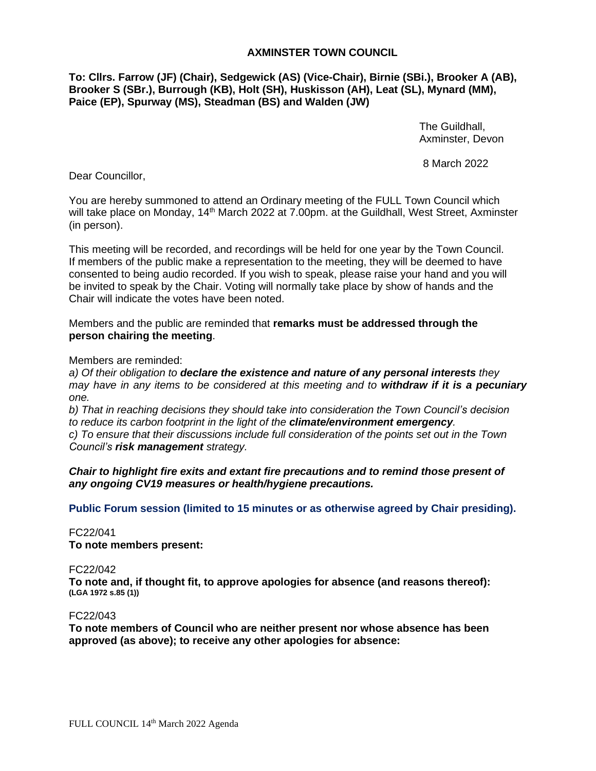# **AXMINSTER TOWN COUNCIL**

**To: Cllrs. Farrow (JF) (Chair), Sedgewick (AS) (Vice-Chair), Birnie (SBi.), Brooker A (AB), Brooker S (SBr.), Burrough (KB), Holt (SH), Huskisson (AH), Leat (SL), Mynard (MM), Paice (EP), Spurway (MS), Steadman (BS) and Walden (JW)**

> The Guildhall, Axminster, Devon

8 March 2022

Dear Councillor,

You are hereby summoned to attend an Ordinary meeting of the FULL Town Council which will take place on Monday, 14<sup>th</sup> March 2022 at 7.00pm. at the Guildhall, West Street, Axminster (in person).

This meeting will be recorded, and recordings will be held for one year by the Town Council. If members of the public make a representation to the meeting, they will be deemed to have consented to being audio recorded. If you wish to speak, please raise your hand and you will be invited to speak by the Chair. Voting will normally take place by show of hands and the Chair will indicate the votes have been noted.

Members and the public are reminded that **remarks must be addressed through the person chairing the meeting**.

Members are reminded:

*a) Of their obligation to declare the existence and nature of any personal interests they may have in any items to be considered at this meeting and to withdraw if it is a pecuniary one.* 

*b) That in reaching decisions they should take into consideration the Town Council's decision to reduce its carbon footprint in the light of the climate/environment emergency. c) To ensure that their discussions include full consideration of the points set out in the Town* 

*Council's risk management strategy.*

*Chair to highlight fire exits and extant fire precautions and to remind those present of any ongoing CV19 measures or health/hygiene precautions.*

**Public Forum session (limited to 15 minutes or as otherwise agreed by Chair presiding).**

FC22/041

**To note members present:**

FC22/042

**To note and, if thought fit, to approve apologies for absence (and reasons thereof): (LGA 1972 s.85 (1))**

FC22/043

**To note members of Council who are neither present nor whose absence has been approved (as above); to receive any other apologies for absence:**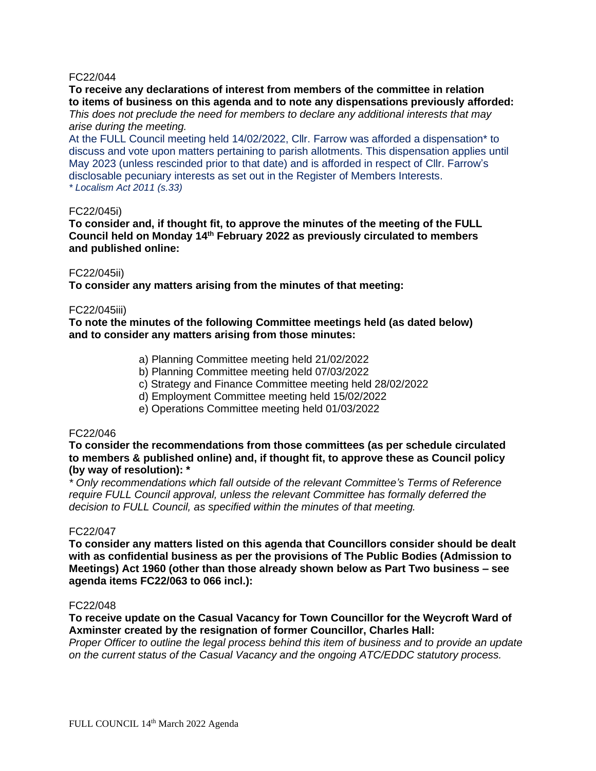# FC22/044

**To receive any declarations of interest from members of the committee in relation to items of business on this agenda and to note any dispensations previously afforded:** *This does not preclude the need for members to declare any additional interests that may* 

## *arise during the meeting.*

At the FULL Council meeting held 14/02/2022, Cllr. Farrow was afforded a dispensation\* to discuss and vote upon matters pertaining to parish allotments. This dispensation applies until May 2023 (unless rescinded prior to that date) and is afforded in respect of Cllr. Farrow's disclosable pecuniary interests as set out in the Register of Members Interests. *\* Localism Act 2011 (s.33)*

#### FC22/045i)

**To consider and, if thought fit, to approve the minutes of the meeting of the FULL Council held on Monday 14 th February 2022 as previously circulated to members and published online:**

## FC22/045ii)

**To consider any matters arising from the minutes of that meeting:**

## FC22/045iii)

**To note the minutes of the following Committee meetings held (as dated below) and to consider any matters arising from those minutes:**

- a) Planning Committee meeting held 21/02/2022
- b) Planning Committee meeting held 07/03/2022
- c) Strategy and Finance Committee meeting held 28/02/2022
- d) Employment Committee meeting held 15/02/2022
- e) Operations Committee meeting held 01/03/2022

## FC22/046

**To consider the recommendations from those committees (as per schedule circulated to members & published online) and, if thought fit, to approve these as Council policy (by way of resolution): \***

*\* Only recommendations which fall outside of the relevant Committee's Terms of Reference require FULL Council approval, unless the relevant Committee has formally deferred the decision to FULL Council, as specified within the minutes of that meeting.*

## FC22/047

**To consider any matters listed on this agenda that Councillors consider should be dealt with as confidential business as per the provisions of The Public Bodies (Admission to Meetings) Act 1960 (other than those already shown below as Part Two business – see agenda items FC22/063 to 066 incl.):**

#### FC22/048

**To receive update on the Casual Vacancy for Town Councillor for the Weycroft Ward of Axminster created by the resignation of former Councillor, Charles Hall:**

*Proper Officer to outline the legal process behind this item of business and to provide an update on the current status of the Casual Vacancy and the ongoing ATC/EDDC statutory process.*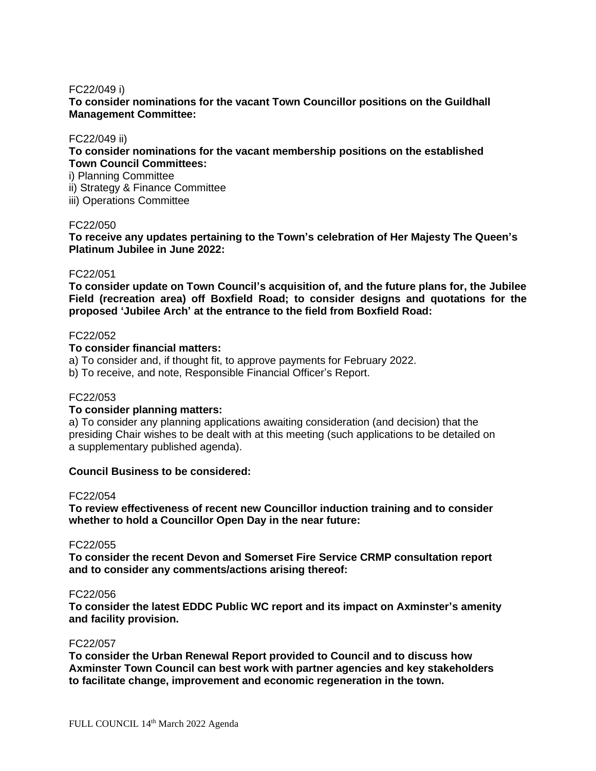## FC22/049 i)

**To consider nominations for the vacant Town Councillor positions on the Guildhall Management Committee:**

## FC22/049 ii)

**To consider nominations for the vacant membership positions on the established Town Council Committees:**

i) Planning Committee

ii) Strategy & Finance Committee

iii) Operations Committee

# FC22/050

**To receive any updates pertaining to the Town's celebration of Her Majesty The Queen's Platinum Jubilee in June 2022:**

# FC22/051

**To consider update on Town Council's acquisition of, and the future plans for, the Jubilee Field (recreation area) off Boxfield Road; to consider designs and quotations for the proposed 'Jubilee Arch' at the entrance to the field from Boxfield Road:**

## FC22/052

## **To consider financial matters:**

a) To consider and, if thought fit, to approve payments for February 2022.

b) To receive, and note, Responsible Financial Officer's Report.

# FC22/053

## **To consider planning matters:**

a) To consider any planning applications awaiting consideration (and decision) that the presiding Chair wishes to be dealt with at this meeting (such applications to be detailed on a supplementary published agenda).

# **Council Business to be considered:**

#### FC22/054

**To review effectiveness of recent new Councillor induction training and to consider whether to hold a Councillor Open Day in the near future:**

## FC22/055

**To consider the recent Devon and Somerset Fire Service CRMP consultation report and to consider any comments/actions arising thereof:**

#### FC22/056

**To consider the latest EDDC Public WC report and its impact on Axminster's amenity and facility provision.**

#### FC22/057

**To consider the Urban Renewal Report provided to Council and to discuss how Axminster Town Council can best work with partner agencies and key stakeholders to facilitate change, improvement and economic regeneration in the town.**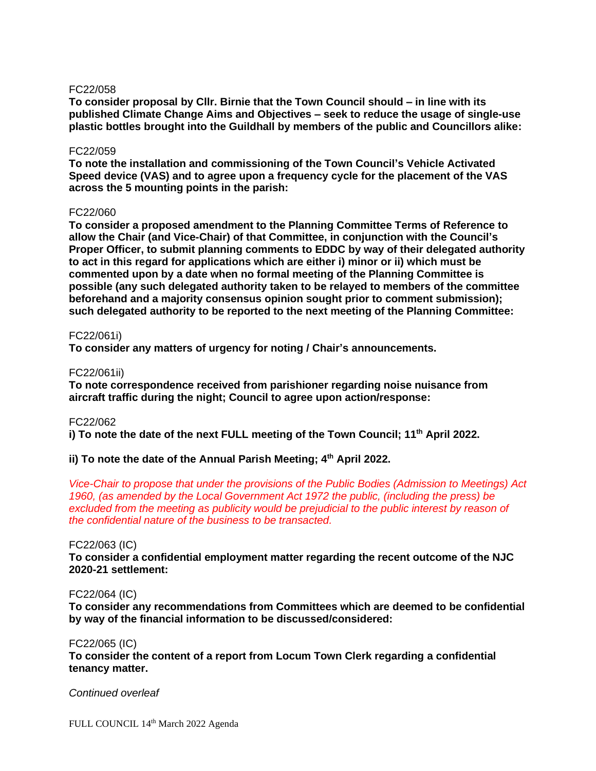## FC22/058

**To consider proposal by Cllr. Birnie that the Town Council should – in line with its published Climate Change Aims and Objectives – seek to reduce the usage of single-use plastic bottles brought into the Guildhall by members of the public and Councillors alike:**

#### FC22/059

**To note the installation and commissioning of the Town Council's Vehicle Activated Speed device (VAS) and to agree upon a frequency cycle for the placement of the VAS across the 5 mounting points in the parish:**

## FC22/060

**To consider a proposed amendment to the Planning Committee Terms of Reference to allow the Chair (and Vice-Chair) of that Committee, in conjunction with the Council's Proper Officer, to submit planning comments to EDDC by way of their delegated authority to act in this regard for applications which are either i) minor or ii) which must be commented upon by a date when no formal meeting of the Planning Committee is possible (any such delegated authority taken to be relayed to members of the committee beforehand and a majority consensus opinion sought prior to comment submission); such delegated authority to be reported to the next meeting of the Planning Committee:**

## FC22/061i)

**To consider any matters of urgency for noting / Chair's announcements.**

## FC22/061ii)

**To note correspondence received from parishioner regarding noise nuisance from aircraft traffic during the night; Council to agree upon action/response:**

#### FC22/062

**i) To note the date of the next FULL meeting of the Town Council; 11 th April 2022.**

# **ii) To note the date of the Annual Parish Meeting; 4th April 2022.**

*Vice-Chair to propose that under the provisions of the Public Bodies (Admission to Meetings) Act 1960, (as amended by the Local Government Act 1972 the public, (including the press) be*  excluded from the meeting as publicity would be prejudicial to the public interest by reason of *the confidential nature of the business to be transacted.*

#### FC22/063 (IC)

**To consider a confidential employment matter regarding the recent outcome of the NJC 2020-21 settlement:**

# FC22/064 (IC)

**To consider any recommendations from Committees which are deemed to be confidential by way of the financial information to be discussed/considered:**

#### FC22/065 (IC)

**To consider the content of a report from Locum Town Clerk regarding a confidential tenancy matter.**

#### *Continued overleaf*